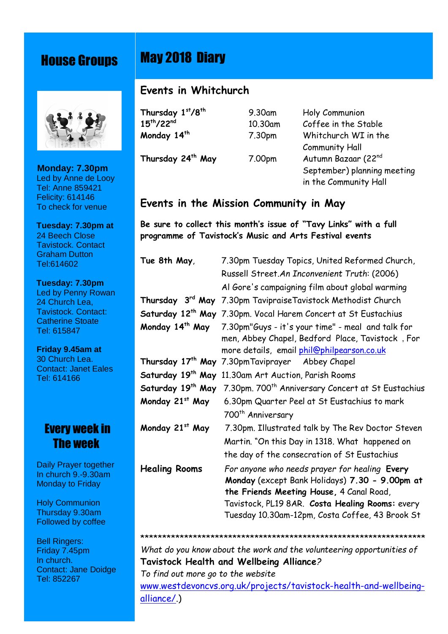## House Groups



*The whole*  **Monday: 7.30pm Parish** Led by Anne de Looy Tel: Anne 859421 Felicity: 614146 To check for venue

 **Tuesday: 7.30pm at** 24 Beech Close Tavistock. Contact Graham Dutton Tel:614602

**Fravistock. Contact:**<br>Cotherine Steate **Registers** Tel: 615847  **Tuesday: 7.30pm** Led by Penny Rowan 24 Church Lea, Catherine Stoate

**30 Church Lea.** Tel: 614166  **Friday 9.45am at** Contact: Janet Eales

## **Every week in 27 The week**

**Bouch Prayer together**  In church 9.-9.30am Monday to Friday

 Holy Communion Thursday 9.30am Followed by coffee

 Bell Ringers: Friday 7.45pm In church. Contact: Jane Doidge Tel: 852267

## May 2018 Diary

## **Events in Whitchurch**

**Thursday 1**

**st/8th** 9.30am Holy Communion **15th/22nd** 10.30am Coffee in the Stable **Monday 14th** 7.30pm Whitchurch WI in the Community Hall **Thursday 24th May** 7.00pm Autumn Bazaar (22nd September) planning meeting in the Community Hall

## **Events in the Mission Community in May**

**Be sure to collect this month's issue of "Tavy Links" with a full programme of Tavistock's Music and Arts Festival events**

| 7.30pm Tuesday Topics, United Reformed Church,                                                                                                                                                                                                    |
|---------------------------------------------------------------------------------------------------------------------------------------------------------------------------------------------------------------------------------------------------|
| Russell Street.An Inconvenient Truth: (2006)                                                                                                                                                                                                      |
| Al Gore's campaigning film about global warming                                                                                                                                                                                                   |
| Thursday 3rd May 7.30pm Tavipraise Tavistock Methodist Church                                                                                                                                                                                     |
| Saturday 12 <sup>th</sup> May 7.30pm. Vocal Harem Concert at St Eustachius                                                                                                                                                                        |
| 7.30pm"Guys - it's your time" - meal and talk for<br>men, Abbey Chapel, Bedford Place, Tavistock, For<br>more details, email phil@philpearson.co.uk                                                                                               |
| Thursday 17 <sup>th</sup> May 7.30pmTaviprayer Abbey Chapel                                                                                                                                                                                       |
| 11.30am Art Auction, Parish Rooms                                                                                                                                                                                                                 |
| Saturday 19 <sup>th</sup> May<br>7.30pm. 700 <sup>th</sup> Anniversary Concert at St Eustachius                                                                                                                                                   |
| 6.30pm Quarter Peel at St Eustachius to mark                                                                                                                                                                                                      |
| 700 <sup>th</sup> Anniversary                                                                                                                                                                                                                     |
| 7.30pm. Illustrated talk by The Rev Doctor Steven                                                                                                                                                                                                 |
| Martin. "On this Day in 1318. What happened on                                                                                                                                                                                                    |
| the day of the consecration of St Eustachius                                                                                                                                                                                                      |
| For anyone who needs prayer for healing Every<br>Monday (except Bank Holidays) 7.30 - 9.00pm at<br>the Friends Meeting House, 4 Canal Road,<br>Tavistock, PL19 8AR. Costa Healing Rooms: every<br>Tuesday 10.30am-12pm, Costa Coffee, 43 Brook St |
|                                                                                                                                                                                                                                                   |

*What do you know about the work and the volunteering opportunities of* **Tavistock Health and Wellbeing Alliance***? To find out more go to the website* [www.westdevoncvs.org.uk/projects/tavistock-health-and-wellbeing](www.westdevoncvs.org.uk/projects/tavistock-health-and-wellbeing-)alliance/.)

\*\*\*\*\*\*\*\*\*\*\*\*\*\*\*\*\*\*\*\*\*\*\*\*\*\*\*\*\*\*\*\*\*\*\*\*\*\*\*\*\*\*\*\*\*\*\*\*\*\*\*\*\*\*\*\*\*\*\*\*\*\*\*\*\*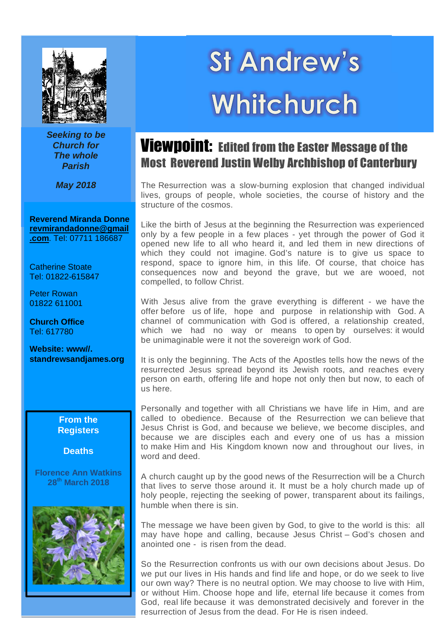

*Seeking to be Church for The whole Parish*

*May 2018*

**Reverend Miranda Donne [revmirandadonne@gmail](mailto:revmirandadonne@gmail) .com**. Tel: 07711 186687

Catherine Stoate Tel: 01822-615847

Peter Rowan 01822 611001

 Tel: 617780 **Church Office**

 **Website: www//. standrewsandjames.org**

#### **From the Registers**

#### **Deaths**

**Florence Ann Watkins 28th March 2018**



# **St Andrew's** Whitchurch

## Viewpoint: Edited from the Easter Message of the Most Reverend Justin Welby Archbishop of Canterbury

The Resurrection was a slow-burning explosion that changed individual lives, groups of people, whole societies, the course of history and the structure of the cosmos.

Like the birth of Jesus at the beginning the Resurrection was experienced only by a few people in a few places - yet through the power of God it opened new life to all who heard it, and led them in new directions of which they could not imagine. God's nature is to give us space to respond, space to ignore him, in this life. Of course, that choice has consequences now and beyond the grave, but we are wooed, not compelled, to follow Christ.

With Jesus alive from the grave everything is different - we have the offer before us of life, hope and purpose in relationship with God. A channel of communication with God is offered, a relationship created, which we had no way or means to open by ourselves: it would be unimaginable were it not the sovereign work of God.

It is only the beginning. The Acts of the Apostles tells how the news of the resurrected Jesus spread beyond its Jewish roots, and reaches every person on earth, offering life and hope not only then but now, to each of us here.

Personally and together with all Christians we have life in Him, and are called to obedience. Because of the Resurrection we can believe that Jesus Christ is God, and because we believe, we become disciples, and because we are disciples each and every one of us has a mission to make Him and His Kingdom known now and throughout our lives, in word and deed.

A church caught up by the good news of the Resurrection will be a Church that lives to serve those around it. It must be a holy church made up of holy people, rejecting the seeking of power, transparent about its failings, humble when there is sin.

The message we have been given by God, to give to the world is this: all may have hope and calling, because Jesus Christ – God's chosen and anointed one - is risen from the dead.

So the Resurrection confronts us with our own decisions about Jesus. Do we put our lives in His hands and find life and hope, or do we seek to live our own way? There is no neutral option. We may choose to live with Him, or without Him. Choose hope and life, eternal life because it comes from God, real life because it was demonstrated decisively and forever in the resurrection of Jesus from the dead. For He is risen indeed.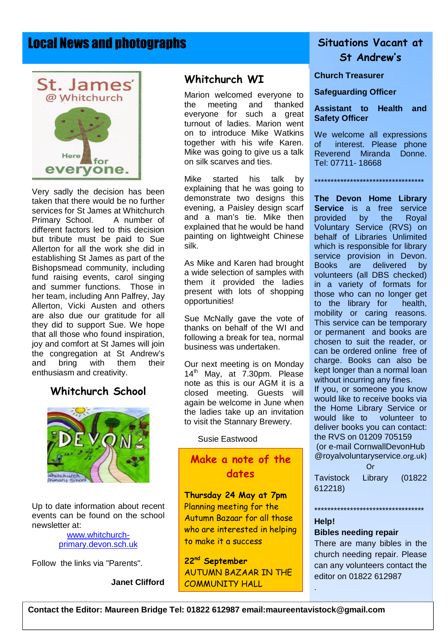## Local News and photographs



Very sadly the decision has been taken that there would be no further services for St James at Whitchurch Primary School. A number of different factors led to this decision but tribute must be paid to Sue Allerton for all the work she did in establishing St James as part of the Bishopsmead community, including fund raising events, carol singing and summer functions. Those in her team, including Ann Palfrey, Jay Allerton, Vicki Austen and others are also due our gratitude for all they did to support Sue. We hope that all those who found inspiration, joy and comfort at St James will join the congregation at St Andrew's and bring with them their enthusiasm and creativity.

#### **Whitchurch School**



Up to date information about recent events can be found on the school newsletter at:

#### [www.whitchurch](www.whitchurch-)primary.devon.sch.uk

Follow the links via "Parents".

#### **Janet Clifford**

#### **Whitchurch WI**

Marion welcomed everyone to the meeting and thanked everyone for such a great turnout of ladies. Marion went on to introduce Mike Watkins together with his wife Karen. Mike was going to give us a talk on silk scarves and ties.

Mike started his talk by explaining that he was going to demonstrate two designs this evening, a Paisley design scarf and a man's tie. Mike then explained that he would be hand painting on lightweight Chinese silk.

As Mike and Karen had brought a wide selection of samples with them it provided the ladies present with lots of shopping opportunities!

Sue McNally gave the vote of thanks on behalf of the WI and following a break for tea, normal business was undertaken.

Our next meeting is on Monday 14<sup>th</sup> May, at 7.30pm. Please note as this is our AGM it is a closed meeting. Guests will again be welcome in June when the ladies take up an invitation to visit the Stannary Brewery.

Susie Eastwood

## **Make a note of the dates**

**Thursday 24 May at 7pm** Planning meeting for the Autumn Bazaar for all those who are interested in helping to make it a success

**22nd September** AUTUMN BAZAAR IN THE COMMUNITY HALL

## **Situations Vacant at St Andrew's**

**Church Treasurer**

**Safeguarding Officer**

**Assistant to Health and Safety Officer**

We welcome all expressions of interest. Please phone Reverend Miranda Donne. Tel: 07711- 18668

\*\*\*\*\*\*\*\*\*\*\*\*\*\*\*\*\*\*\*\*\*\*\*\*\*\*\*\*\*\*\*\*\*\*

**The Devon Home Library Service** is a free service provided by the Royal Voluntary Service (RVS) on behalf of Libraries Unlimited which is responsible for library service provision in Devon. Books are delivered by volunteers (all DBS checked) in a variety of formats for those who can no longer get to the library for health, mobility or caring reasons. This service can be temporary or permanent and books are chosen to suit the reader, or can be ordered online free of charge. Books can also be kept longer than a normal loan without incurring any fines. If you, or someone you know

would like to receive books via the Home Library Service or would like to volunteer to deliver books you can contact: the RVS on 01209 705159 (or e-mail CornwallDevonHub @royalvoluntaryservice.org.uk)

Or Tavistock Library (01822 612218)

\*\*\*\*\*\*\*\*\*\*\*\*\*\*\*\*\*\*\*\*\*\*\*\*\*\*\*\*\*\*\*\*\*\*

#### **Help!**

.

#### **Bibles needing repair**

There are many bibles in the church needing repair. Please can any volunteers contact the editor on 01822 612987

. **Contact the Editor: Maureen Bridge Tel: 01822 612987 email[:maureentavistock@gmail.com](mailto:maureentavistock@gmail.com)**